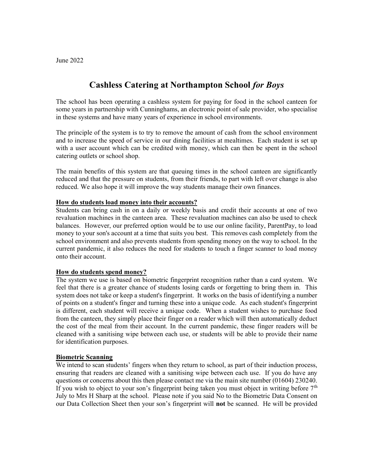# Cashless Catering at Northampton School for Boys

The school has been operating a cashless system for paying for food in the school canteen for some years in partnership with Cunninghams, an electronic point of sale provider, who specialise in these systems and have many years of experience in school environments.

The principle of the system is to try to remove the amount of cash from the school environment and to increase the speed of service in our dining facilities at mealtimes. Each student is set up with a user account which can be credited with money, which can then be spent in the school catering outlets or school shop.

The main benefits of this system are that queuing times in the school canteen are significantly reduced and that the pressure on students, from their friends, to part with left over change is also reduced. We also hope it will improve the way students manage their own finances.

## How do students load money into their accounts?

Students can bring cash in on a daily or weekly basis and credit their accounts at one of two revaluation machines in the canteen area. These revaluation machines can also be used to check balances. However, our preferred option would be to use our online facility, ParentPay, to load money to your son's account at a time that suits you best. This removes cash completely from the school environment and also prevents students from spending money on the way to school. In the current pandemic, it also reduces the need for students to touch a finger scanner to load money onto their account.

#### How do students spend money?

The system we use is based on biometric fingerprint recognition rather than a card system. We feel that there is a greater chance of students losing cards or forgetting to bring them in. This system does not take or keep a student's fingerprint. It works on the basis of identifying a number of points on a student's finger and turning these into a unique code. As each student's fingerprint is different, each student will receive a unique code. When a student wishes to purchase food from the canteen, they simply place their finger on a reader which will then automatically deduct the cost of the meal from their account. In the current pandemic, these finger readers will be cleaned with a sanitising wipe between each use, or students will be able to provide their name for identification purposes.

#### Biometric Scanning

We intend to scan students' fingers when they return to school, as part of their induction process, ensuring that readers are cleaned with a sanitising wipe between each use. If you do have any questions or concerns about this then please contact me via the main site number (01604) 230240. If you wish to object to your son's fingerprint being taken you must object in writing before  $7<sup>th</sup>$ July to Mrs H Sharp at the school. Please note if you said No to the Biometric Data Consent on our Data Collection Sheet then your son's fingerprint will not be scanned. He will be provided